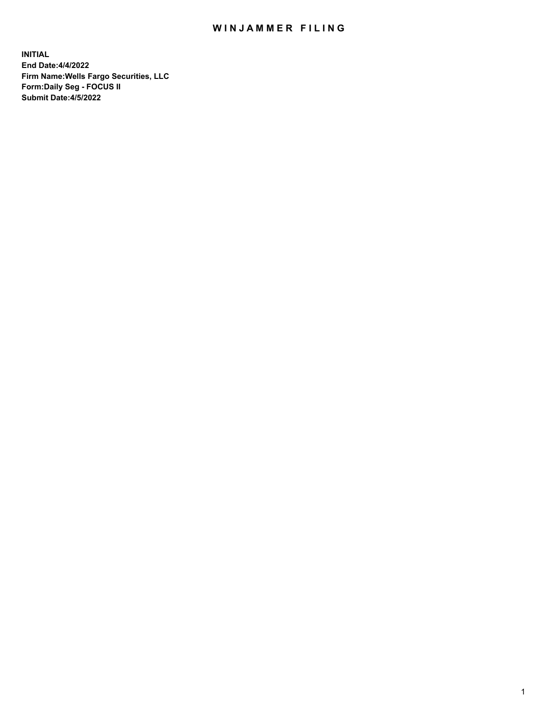## WIN JAMMER FILING

**INITIAL End Date:4/4/2022 Firm Name:Wells Fargo Securities, LLC Form:Daily Seg - FOCUS II Submit Date:4/5/2022**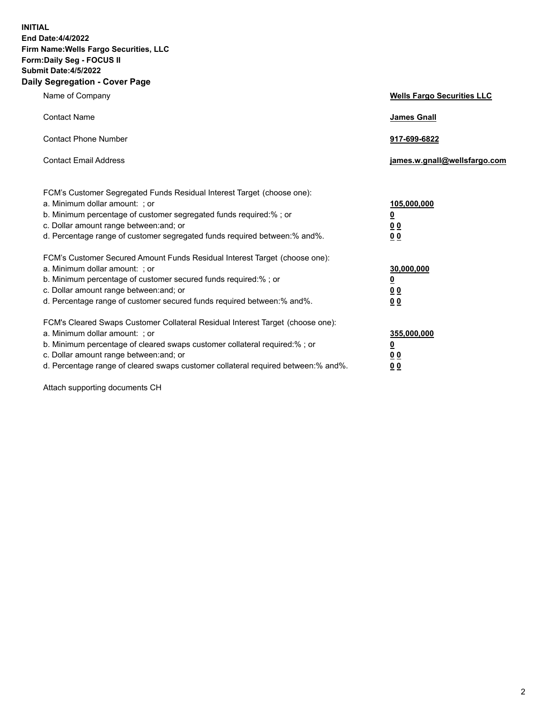**INITIAL End Date:4/4/2022 Firm Name:Wells Fargo Securities, LLC Form:Daily Seg - FOCUS II Submit Date:4/5/2022 Daily Segregation - Cover Page**

| Name of Company                                                                                                  | <b>Wells Fargo Securities LLC</b> |
|------------------------------------------------------------------------------------------------------------------|-----------------------------------|
| <b>Contact Name</b>                                                                                              | <b>James Gnall</b>                |
|                                                                                                                  |                                   |
| <b>Contact Phone Number</b>                                                                                      | 917-699-6822                      |
|                                                                                                                  |                                   |
| <b>Contact Email Address</b>                                                                                     | james.w.gnall@wellsfargo.com      |
|                                                                                                                  |                                   |
| FCM's Customer Segregated Funds Residual Interest Target (choose one):                                           |                                   |
| a. Minimum dollar amount: ; or                                                                                   | 105,000,000                       |
| b. Minimum percentage of customer segregated funds required:% ; or                                               | <u>0</u>                          |
| c. Dollar amount range between: and; or                                                                          | 00                                |
| d. Percentage range of customer segregated funds required between:% and%.                                        | 00                                |
| FCM's Customer Secured Amount Funds Residual Interest Target (choose one):                                       |                                   |
| a. Minimum dollar amount: ; or                                                                                   | 30,000,000                        |
| b. Minimum percentage of customer secured funds required:%; or                                                   | <u>0</u>                          |
| c. Dollar amount range between: and; or                                                                          | 00                                |
| d. Percentage range of customer secured funds required between: % and %.                                         | 0 <sub>0</sub>                    |
|                                                                                                                  |                                   |
| FCM's Cleared Swaps Customer Collateral Residual Interest Target (choose one):<br>a. Minimum dollar amount: ; or | 355,000,000                       |
| b. Minimum percentage of cleared swaps customer collateral required:% ; or                                       | <u>0</u>                          |
| c. Dollar amount range between: and; or                                                                          | <u>00</u>                         |
| d. Percentage range of cleared swaps customer collateral required between:% and%.                                | 00                                |
|                                                                                                                  |                                   |

Attach supporting documents CH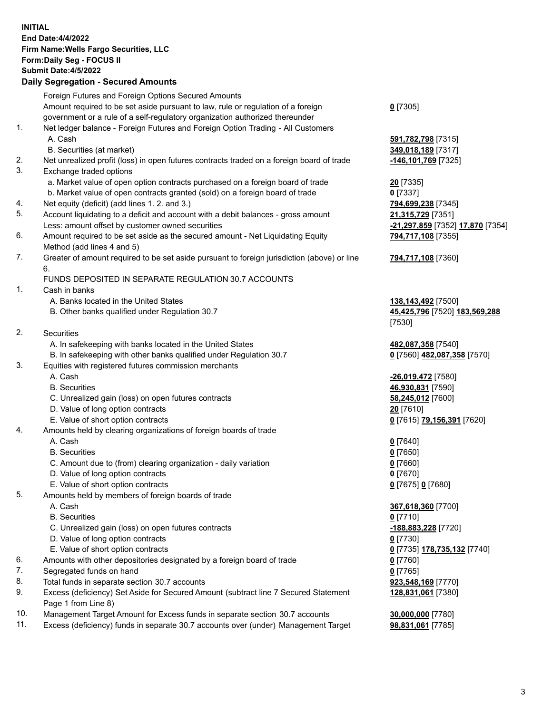**INITIAL End Date:4/4/2022 Firm Name:Wells Fargo Securities, LLC Form:Daily Seg - FOCUS II Submit Date:4/5/2022 Daily Segregation - Secured Amounts** Foreign Futures and Foreign Options Secured Amounts Amount required to be set aside pursuant to law, rule or regulation of a foreign government or a rule of a self-regulatory organization authorized thereunder **0** [7305] 1. Net ledger balance - Foreign Futures and Foreign Option Trading - All Customers A. Cash **591,782,798** [7315] B. Securities (at market) **349,018,189** [7317] 2. Net unrealized profit (loss) in open futures contracts traded on a foreign board of trade **-146,101,769** [7325] 3. Exchange traded options a. Market value of open option contracts purchased on a foreign board of trade **20** [7335] b. Market value of open contracts granted (sold) on a foreign board of trade **0** [7337] 4. Net equity (deficit) (add lines 1. 2. and 3.) **794,699,238** [7345] 5. Account liquidating to a deficit and account with a debit balances - gross amount **21,315,729** [7351] Less: amount offset by customer owned securities **-21,297,859** [7352] **17,870** [7354] 6. Amount required to be set aside as the secured amount - Net Liquidating Equity Method (add lines 4 and 5) **794,717,108** [7355] 7. Greater of amount required to be set aside pursuant to foreign jurisdiction (above) or line 6. **794,717,108** [7360] FUNDS DEPOSITED IN SEPARATE REGULATION 30.7 ACCOUNTS 1. Cash in banks A. Banks located in the United States **138,143,492** [7500] B. Other banks qualified under Regulation 30.7 **45,425,796** [7520] **183,569,288** [7530] 2. Securities A. In safekeeping with banks located in the United States **482,087,358** [7540] B. In safekeeping with other banks qualified under Regulation 30.7 **0** [7560] **482,087,358** [7570] 3. Equities with registered futures commission merchants A. Cash **-26,019,472** [7580] B. Securities **46,930,831** [7590] C. Unrealized gain (loss) on open futures contracts **58,245,012** [7600] D. Value of long option contracts **20** [7610] E. Value of short option contracts **0** [7615] **79,156,391** [7620] 4. Amounts held by clearing organizations of foreign boards of trade A. Cash **0** [7640] B. Securities **0** [7650] C. Amount due to (from) clearing organization - daily variation **0** [7660] D. Value of long option contracts **0** [7670] E. Value of short option contracts **0** [7675] **0** [7680] 5. Amounts held by members of foreign boards of trade A. Cash **367,618,360** [7700] B. Securities **0** [7710] C. Unrealized gain (loss) on open futures contracts **-188,883,228** [7720] D. Value of long option contracts **0** [7730] E. Value of short option contracts **0** [7735] **178,735,132** [7740] 6. Amounts with other depositories designated by a foreign board of trade **0** [7760] 7. Segregated funds on hand **0** [7765] 8. Total funds in separate section 30.7 accounts **923,548,169** [7770] 9. Excess (deficiency) Set Aside for Secured Amount (subtract line 7 Secured Statement Page 1 from Line 8) **128,831,061** [7380] 10. Management Target Amount for Excess funds in separate section 30.7 accounts **30,000,000** [7780]

11. Excess (deficiency) funds in separate 30.7 accounts over (under) Management Target **98,831,061** [7785]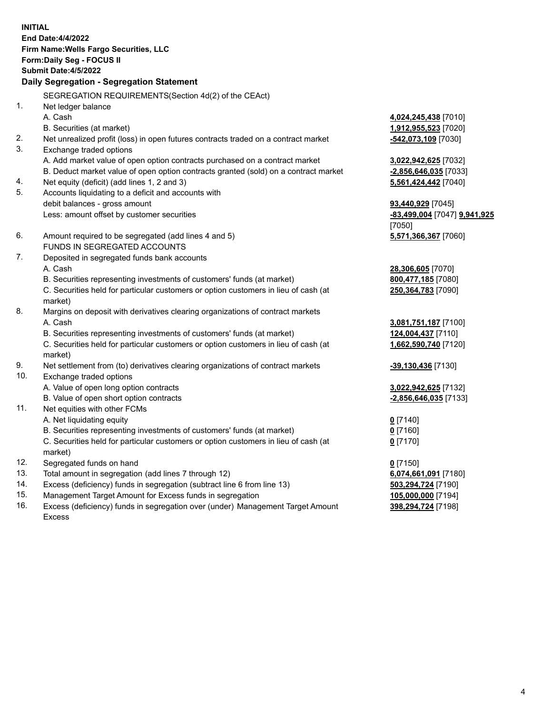**INITIAL End Date:4/4/2022 Firm Name:Wells Fargo Securities, LLC Form:Daily Seg - FOCUS II Submit Date:4/5/2022 Daily Segregation - Segregation Statement** SEGREGATION REQUIREMENTS(Section 4d(2) of the CEAct) 1. Net ledger balance A. Cash **4,024,245,438** [7010] B. Securities (at market) **1,912,955,523** [7020] 2. Net unrealized profit (loss) in open futures contracts traded on a contract market **-542,073,109** [7030] 3. Exchange traded options A. Add market value of open option contracts purchased on a contract market **3,022,942,625** [7032] B. Deduct market value of open option contracts granted (sold) on a contract market **-2,856,646,035** [7033] 4. Net equity (deficit) (add lines 1, 2 and 3) **5,561,424,442** [7040] 5. Accounts liquidating to a deficit and accounts with debit balances - gross amount **93,440,929** [7045] Less: amount offset by customer securities **-83,499,004** [7047] **9,941,925** [7050] 6. Amount required to be segregated (add lines 4 and 5) **5,571,366,367** [7060] FUNDS IN SEGREGATED ACCOUNTS 7. Deposited in segregated funds bank accounts A. Cash **28,306,605** [7070] B. Securities representing investments of customers' funds (at market) **800,477,185** [7080] C. Securities held for particular customers or option customers in lieu of cash (at market) **250,364,783** [7090] 8. Margins on deposit with derivatives clearing organizations of contract markets A. Cash **3,081,751,187** [7100] B. Securities representing investments of customers' funds (at market) **124,004,437** [7110] C. Securities held for particular customers or option customers in lieu of cash (at market) **1,662,590,740** [7120] 9. Net settlement from (to) derivatives clearing organizations of contract markets **-39,130,436** [7130] 10. Exchange traded options A. Value of open long option contracts **3,022,942,625** [7132] B. Value of open short option contracts **-2,856,646,035** [7133] 11. Net equities with other FCMs A. Net liquidating equity **0** [7140] B. Securities representing investments of customers' funds (at market) **0** [7160] C. Securities held for particular customers or option customers in lieu of cash (at market) **0** [7170] 12. Segregated funds on hand **0** [7150] 13. Total amount in segregation (add lines 7 through 12) **6,074,661,091** [7180] 14. Excess (deficiency) funds in segregation (subtract line 6 from line 13) **503,294,724** [7190] 15. Management Target Amount for Excess funds in segregation **105,000,000** [7194] 16. Excess (deficiency) funds in segregation over (under) Management Target Amount **398,294,724** [7198]

Excess